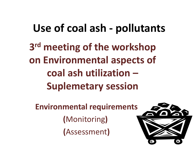## **Use of coal ash - pollutants**

**3 rd meeting of the workshop on Environmental aspects of coal ash utilization – Suplemetary session**

**Environmental requirements (**Monitoring**) (**Assessment**)**

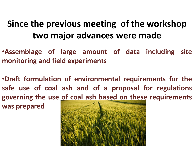## **Since the previous meeting of the workshop two major advances were made**

•**Assemblage of large amount of data including site monitoring and field experiments**

•**Draft formulation of environmental requirements for the safe use of coal ash and of a proposal for regulations governing the use of coal ash based on these requirements was prepared**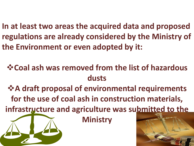**In at least two areas the acquired data and proposed regulations are already considered by the Ministry of the Environment or even adopted by it:**

**Coal ash was removed from the list of hazardous dusts**

 $\cdot$  $\cdot$  **A** draft proposal of environmental requirements **for the use of coal ash in construction materials,** 

infrastructure and agriculture was submitted to the

**Ministry**

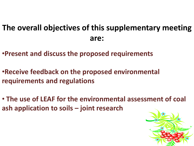## **The overall objectives of this supplementary meeting are:**

- •**Present and discuss the proposed requirements**
- •**Receive feedback on the proposed environmental requirements and regulations**
- **The use of LEAF for the environmental assessment of coal ash application to soils – joint research**

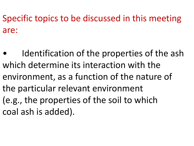Specific topics to be discussed in this meeting are:

Identification of the properties of the ash which determine its interaction with the environment, as a function of the nature of the particular relevant environment (e.g., the properties of the soil to which coal ash is added).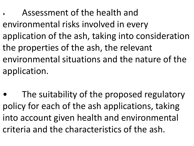• Assessment of the health and environmental risks involved in every application of the ash, taking into consideration the properties of the ash, the relevant environmental situations and the nature of the application.

The suitability of the proposed regulatory policy for each of the ash applications, taking into account given health and environmental criteria and the characteristics of the ash.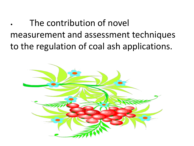The contribution of novel measurement and assessment techniques to the regulation of coal ash applications.

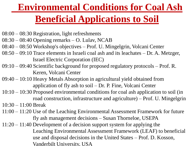## **Environmental Conditions for Coal Ash Beneficial Applications to Soil**

- 08:00 08:30 Registration, light refreshments
- 08:30 08:40 Opening remarks O. Lulav, NCAB
- 08:40 08:50 Workshop's objectives Prof. U. Mingelgrin, Volcani Center
- 08:50 09:10 Trace elements in Israeli coal ash and its leachates Dr. A. Metzger, Israel Electric Corporation (IEC)
- 09:10 09:40 Scientific background for proposed regulatory protocols Prof. R. Keren, Volcani Center
- 09:40 10:10 Heavy Metals Absorption in agricultural yield obtained from application of fly ash to soil – Dr. P. Fine, Volcani Center
- 10:10 10:30 Proposed environmental conditions for coal ash application to soil (in road construction, infrastructure and agriculture) – Prof. U. Mingelgrin

10:30 – 11:00 Break

- 11:00 11:20 Use of the Leaching Environmental Assessment Framework for future fly ash management decisions – Susan Thorneloe, USEPA
- 11:20 11:40 Development of a decision support system for applying the Leaching Environmental Assessment Framework (LEAF) to beneficial use and disposal decisions in the United States – Prof. D. Kosson, Vanderbilt University, USA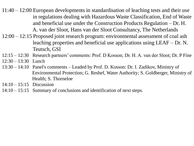11:40 – 12:00 European developments in standardisation of leaching tests and their use in regulations dealing with Hazardous Waste Classification, End of Waste and beneficial use under the Construction Products Regulation – Dr. H. A. van der Sloot, Hans van der Sloot Consultancy, The Netherlands

- 12:00 12:15 Proposed joint research program: environmental assessment of coal ash leaching properties and beneficial use applications using LEAF – Dr. N. Teutsch, GSI
- 12:15 12:30 Research partners' comments: Prof. D Kosson; Dr. H. A. van der Sloot; Dr. P Fine
- 12:30 13:30 Lunch
- 13:30 14:10 Panel's comments Leaded by Prof. D. Kosson: Dr. I. Zadikov, Ministry of Environmental Protection; G. Reshef, Water Authority; S. Goldberger, Ministry of Health; S. Thorneloe
- 14:10 15:15 Discussion
- 14:10 15:15 Summary of conclusions and identification of next steps.